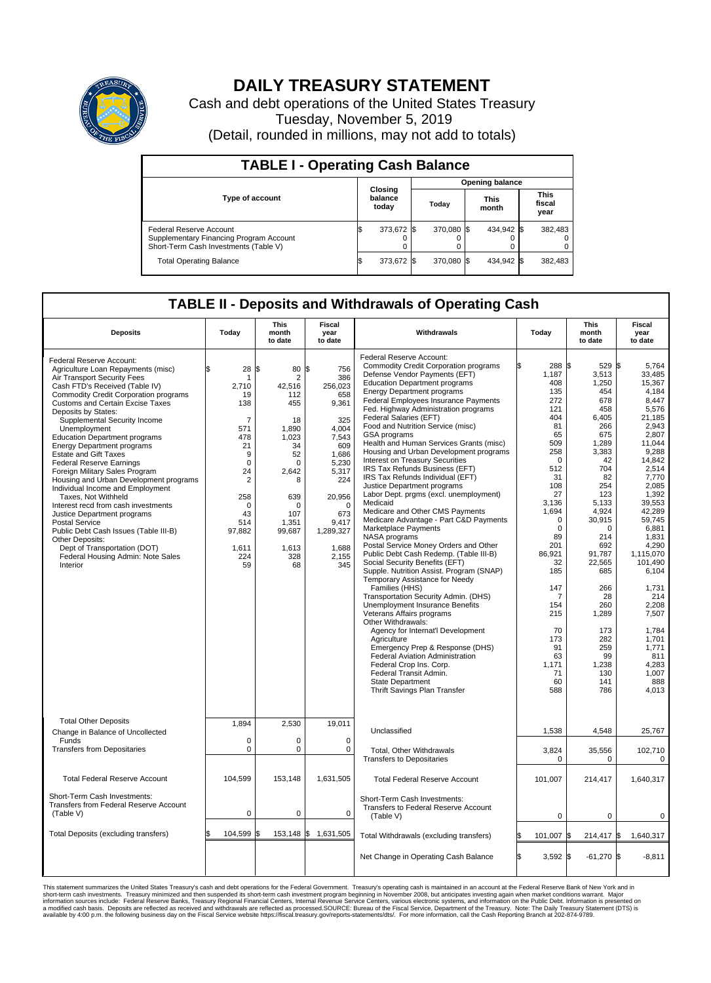

## **DAILY TREASURY STATEMENT**

Cash and debt operations of the United States Treasury Tuesday, November 5, 2019 (Detail, rounded in millions, may not add to totals)

| <b>TABLE I - Operating Cash Balance</b>                                                                     |    |                             |       |                        |  |                      |  |                               |  |  |  |
|-------------------------------------------------------------------------------------------------------------|----|-----------------------------|-------|------------------------|--|----------------------|--|-------------------------------|--|--|--|
|                                                                                                             |    |                             |       | <b>Opening balance</b> |  |                      |  |                               |  |  |  |
| <b>Type of account</b>                                                                                      |    | Closing<br>balance<br>today | Today |                        |  | <b>This</b><br>month |  | <b>This</b><br>fiscal<br>year |  |  |  |
| Federal Reserve Account<br>Supplementary Financing Program Account<br>Short-Term Cash Investments (Table V) |    | 373,672 \$                  |       | 370.080 \$             |  | 434,942 \$           |  | 382,483                       |  |  |  |
| <b>Total Operating Balance</b>                                                                              | ıъ | 373,672 \$                  |       | 370,080 \$             |  | 434,942 \$           |  | 382,483                       |  |  |  |

## **TABLE II - Deposits and Withdrawals of Operating Cash**

| <b>Deposits</b>                                                                                                                                                                                                                                                                                                                                                                                                                                                                                                                                                                                                                                                                                                                                                                                                               | Today                                                                                                                                                                             | This<br>month<br>to date                                                                                                                                        | Fiscal<br>year<br>to date                                                                                                                                                                 | Withdrawals                                                                                                                                                                                                                                                                                                                                                                                                                                                                                                                                                                                                                                                                                                                                                                                                                                                                                                                                                                                                                                                                                                                                                                                                                                                                                                                                                               | Today                                                                                                                                                                                                                                                                                    | <b>This</b><br>month<br>to date                                                                                                                                                                                                                                                                                | Fiscal<br>year<br>to date                                                                                                                                                                                                                                                                                                                         |
|-------------------------------------------------------------------------------------------------------------------------------------------------------------------------------------------------------------------------------------------------------------------------------------------------------------------------------------------------------------------------------------------------------------------------------------------------------------------------------------------------------------------------------------------------------------------------------------------------------------------------------------------------------------------------------------------------------------------------------------------------------------------------------------------------------------------------------|-----------------------------------------------------------------------------------------------------------------------------------------------------------------------------------|-----------------------------------------------------------------------------------------------------------------------------------------------------------------|-------------------------------------------------------------------------------------------------------------------------------------------------------------------------------------------|---------------------------------------------------------------------------------------------------------------------------------------------------------------------------------------------------------------------------------------------------------------------------------------------------------------------------------------------------------------------------------------------------------------------------------------------------------------------------------------------------------------------------------------------------------------------------------------------------------------------------------------------------------------------------------------------------------------------------------------------------------------------------------------------------------------------------------------------------------------------------------------------------------------------------------------------------------------------------------------------------------------------------------------------------------------------------------------------------------------------------------------------------------------------------------------------------------------------------------------------------------------------------------------------------------------------------------------------------------------------------|------------------------------------------------------------------------------------------------------------------------------------------------------------------------------------------------------------------------------------------------------------------------------------------|----------------------------------------------------------------------------------------------------------------------------------------------------------------------------------------------------------------------------------------------------------------------------------------------------------------|---------------------------------------------------------------------------------------------------------------------------------------------------------------------------------------------------------------------------------------------------------------------------------------------------------------------------------------------------|
| Federal Reserve Account:<br>Agriculture Loan Repayments (misc)<br>Air Transport Security Fees<br>Cash FTD's Received (Table IV)<br>Commodity Credit Corporation programs<br><b>Customs and Certain Excise Taxes</b><br>Deposits by States:<br>Supplemental Security Income<br>Unemployment<br><b>Education Department programs</b><br><b>Energy Department programs</b><br><b>Estate and Gift Taxes</b><br><b>Federal Reserve Earnings</b><br>Foreign Military Sales Program<br>Housing and Urban Development programs<br>Individual Income and Employment<br>Taxes. Not Withheld<br>Interest recd from cash investments<br>Justice Department programs<br><b>Postal Service</b><br>Public Debt Cash Issues (Table III-B)<br>Other Deposits:<br>Dept of Transportation (DOT)<br>Federal Housing Admin: Note Sales<br>Interior | 28<br>\$<br>1<br>2,710<br>19<br>138<br>$\overline{7}$<br>571<br>478<br>21<br>9<br>$\mathbf 0$<br>24<br>$\sqrt{2}$<br>258<br>$\Omega$<br>43<br>514<br>97,882<br>1,611<br>224<br>59 | \$<br>80<br>2<br>42,516<br>112<br>455<br>18<br>1,890<br>1.023<br>34<br>52<br>$\Omega$<br>2,642<br>8<br>639<br>U<br>107<br>1,351<br>99,687<br>1,613<br>328<br>68 | \$<br>756<br>386<br>256,023<br>658<br>9,361<br>325<br>4,004<br>7.543<br>609<br>1.686<br>5,230<br>5,317<br>224<br>20,956<br>$\Omega$<br>673<br>9,417<br>1,289,327<br>1,688<br>2,155<br>345 | Federal Reserve Account:<br><b>Commodity Credit Corporation programs</b><br>Defense Vendor Payments (EFT)<br><b>Education Department programs</b><br><b>Energy Department programs</b><br>Federal Employees Insurance Payments<br>Fed. Highway Administration programs<br>Federal Salaries (EFT)<br>Food and Nutrition Service (misc)<br>GSA programs<br>Health and Human Services Grants (misc)<br>Housing and Urban Development programs<br><b>Interest on Treasury Securities</b><br>IRS Tax Refunds Business (EFT)<br>IRS Tax Refunds Individual (EFT)<br>Justice Department programs<br>Labor Dept. prgms (excl. unemployment)<br>Medicaid<br>Medicare and Other CMS Payments<br>Medicare Advantage - Part C&D Payments<br>Marketplace Payments<br>NASA programs<br>Postal Service Money Orders and Other<br>Public Debt Cash Redemp. (Table III-B)<br>Social Security Benefits (EFT)<br>Supple. Nutrition Assist. Program (SNAP)<br>Temporary Assistance for Needy<br>Families (HHS)<br>Transportation Security Admin. (DHS)<br>Unemployment Insurance Benefits<br>Veterans Affairs programs<br>Other Withdrawals:<br>Agency for Internat'l Development<br>Agriculture<br>Emergency Prep & Response (DHS)<br><b>Federal Aviation Administration</b><br>Federal Crop Ins. Corp.<br>Federal Transit Admin.<br><b>State Department</b><br>Thrift Savings Plan Transfer | 288 \$<br>1,187<br>408<br>135<br>272<br>121<br>404<br>81<br>65<br>509<br>258<br>$\mathbf 0$<br>512<br>31<br>108<br>27<br>3.136<br>1,694<br>$\mathbf 0$<br>$\mathbf 0$<br>89<br>201<br>86,921<br>32<br>185<br>147<br>7<br>154<br>215<br>70<br>173<br>91<br>63<br>1,171<br>71<br>60<br>588 | $529$ $\frac{1}{3}$<br>3,513<br>1,250<br>454<br>678<br>458<br>6,405<br>266<br>675<br>1,289<br>3,383<br>42<br>704<br>82<br>254<br>123<br>5.133<br>4,924<br>30,915<br>$\mathbf 0$<br>214<br>692<br>91,787<br>22,565<br>685<br>266<br>28<br>260<br>1,289<br>173<br>282<br>259<br>99<br>1,238<br>130<br>141<br>786 | 5.764<br>33,485<br>15.367<br>4,184<br>8,447<br>5,576<br>21,185<br>2,943<br>2,807<br>11.044<br>9,288<br>14,842<br>2,514<br>7,770<br>2,085<br>1,392<br>39.553<br>42.289<br>59,745<br>6,881<br>1.831<br>4.290<br>1,115,070<br>101,490<br>6,104<br>1,731<br>214<br>2,208<br>7,507<br>1,784<br>1.701<br>1,771<br>811<br>4,283<br>1,007<br>888<br>4,013 |
| <b>Total Other Deposits</b><br>Change in Balance of Uncollected                                                                                                                                                                                                                                                                                                                                                                                                                                                                                                                                                                                                                                                                                                                                                               | 1,894                                                                                                                                                                             | 2,530                                                                                                                                                           | 19,011                                                                                                                                                                                    | Unclassified                                                                                                                                                                                                                                                                                                                                                                                                                                                                                                                                                                                                                                                                                                                                                                                                                                                                                                                                                                                                                                                                                                                                                                                                                                                                                                                                                              | 1,538                                                                                                                                                                                                                                                                                    | 4,548                                                                                                                                                                                                                                                                                                          | 25,767                                                                                                                                                                                                                                                                                                                                            |
| Funds<br><b>Transfers from Depositaries</b>                                                                                                                                                                                                                                                                                                                                                                                                                                                                                                                                                                                                                                                                                                                                                                                   | $\mathbf 0$<br>$\mathbf 0$                                                                                                                                                        | $\Omega$<br>0                                                                                                                                                   | $\Omega$<br>0                                                                                                                                                                             | Total, Other Withdrawals<br><b>Transfers to Depositaries</b>                                                                                                                                                                                                                                                                                                                                                                                                                                                                                                                                                                                                                                                                                                                                                                                                                                                                                                                                                                                                                                                                                                                                                                                                                                                                                                              | 3,824<br>$\mathbf 0$                                                                                                                                                                                                                                                                     | 35,556<br>0                                                                                                                                                                                                                                                                                                    | 102,710<br>0                                                                                                                                                                                                                                                                                                                                      |
| <b>Total Federal Reserve Account</b>                                                                                                                                                                                                                                                                                                                                                                                                                                                                                                                                                                                                                                                                                                                                                                                          | 104,599                                                                                                                                                                           | 153,148                                                                                                                                                         | 1,631,505                                                                                                                                                                                 | <b>Total Federal Reserve Account</b>                                                                                                                                                                                                                                                                                                                                                                                                                                                                                                                                                                                                                                                                                                                                                                                                                                                                                                                                                                                                                                                                                                                                                                                                                                                                                                                                      | 101,007                                                                                                                                                                                                                                                                                  | 214,417                                                                                                                                                                                                                                                                                                        | 1,640,317                                                                                                                                                                                                                                                                                                                                         |
| Short-Term Cash Investments:<br>Transfers from Federal Reserve Account<br>(Table V)                                                                                                                                                                                                                                                                                                                                                                                                                                                                                                                                                                                                                                                                                                                                           | $\mathbf 0$                                                                                                                                                                       | 0                                                                                                                                                               | $\mathbf 0$                                                                                                                                                                               | Short-Term Cash Investments:<br>Transfers to Federal Reserve Account<br>(Table V)                                                                                                                                                                                                                                                                                                                                                                                                                                                                                                                                                                                                                                                                                                                                                                                                                                                                                                                                                                                                                                                                                                                                                                                                                                                                                         | 0                                                                                                                                                                                                                                                                                        | 0                                                                                                                                                                                                                                                                                                              | 0                                                                                                                                                                                                                                                                                                                                                 |
| Total Deposits (excluding transfers)                                                                                                                                                                                                                                                                                                                                                                                                                                                                                                                                                                                                                                                                                                                                                                                          | \$<br>104,599                                                                                                                                                                     | \$                                                                                                                                                              | 153,148 \$ 1,631,505                                                                                                                                                                      | Total Withdrawals (excluding transfers)                                                                                                                                                                                                                                                                                                                                                                                                                                                                                                                                                                                                                                                                                                                                                                                                                                                                                                                                                                                                                                                                                                                                                                                                                                                                                                                                   | 101,007                                                                                                                                                                                                                                                                                  | 214,417 \$                                                                                                                                                                                                                                                                                                     | 1,640,317                                                                                                                                                                                                                                                                                                                                         |
|                                                                                                                                                                                                                                                                                                                                                                                                                                                                                                                                                                                                                                                                                                                                                                                                                               |                                                                                                                                                                                   |                                                                                                                                                                 |                                                                                                                                                                                           | Net Change in Operating Cash Balance                                                                                                                                                                                                                                                                                                                                                                                                                                                                                                                                                                                                                                                                                                                                                                                                                                                                                                                                                                                                                                                                                                                                                                                                                                                                                                                                      | Ŝ.<br>$3.592$ \$                                                                                                                                                                                                                                                                         | $-61,270$ \$                                                                                                                                                                                                                                                                                                   | $-8.811$                                                                                                                                                                                                                                                                                                                                          |

This statement summarizes the United States Treasury's cash and debt operations for the Federal Government. Treasury operating in November 2008, but anticingates investing again when market conditions warrant. Major York a